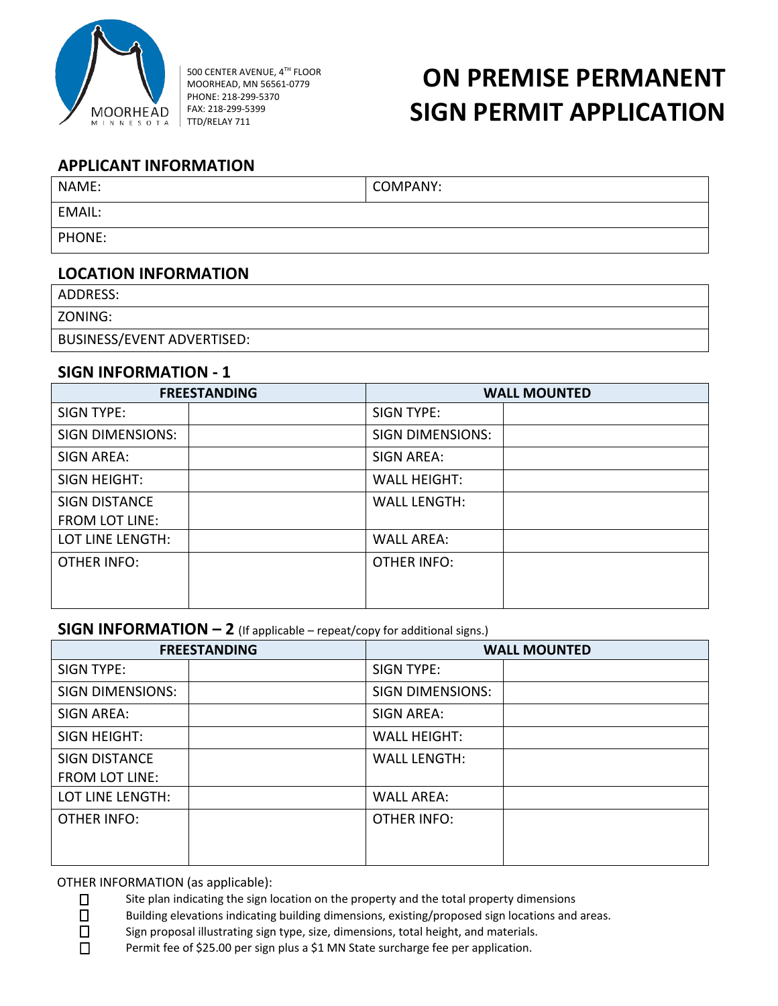

500 CENTER AVENUE, 4TH FLOOR MOORHEAD, MN 56561-0779 PHONE: 218-299-5370 FAX: 218-299-5399 TTD/RELAY 711

# **ON PREMISE PERMANENT SIGN PERMIT APPLICATION**

### **APPLICANT INFORMATION**

| NAME:  | COMPANY: |
|--------|----------|
| EMAIL: |          |
| PHONE: |          |

### **LOCATION INFORMATION**

ADDRESS:

ZONING:

BUSINESS/EVENT ADVERTISED:

### **SIGN INFORMATION - 1**

|                         | <b>FREESTANDING</b> | <b>WALL MOUNTED</b>     |  |  |
|-------------------------|---------------------|-------------------------|--|--|
| <b>SIGN TYPE:</b>       |                     | <b>SIGN TYPE:</b>       |  |  |
| <b>SIGN DIMENSIONS:</b> |                     | <b>SIGN DIMENSIONS:</b> |  |  |
| <b>SIGN AREA:</b>       |                     | SIGN AREA:              |  |  |
| SIGN HEIGHT:            |                     | <b>WALL HEIGHT:</b>     |  |  |
| <b>SIGN DISTANCE</b>    |                     | <b>WALL LENGTH:</b>     |  |  |
| <b>FROM LOT LINE:</b>   |                     |                         |  |  |
| LOT LINE LENGTH:        |                     | <b>WALL AREA:</b>       |  |  |
| OTHER INFO:             |                     | <b>OTHER INFO:</b>      |  |  |
|                         |                     |                         |  |  |
|                         |                     |                         |  |  |

## **SIGN INFORMATION – 2** (If applicable – repeat/copy for additional signs.)

| <b>FREESTANDING</b>     | <b>WALL MOUNTED</b>     |  |  |
|-------------------------|-------------------------|--|--|
| <b>SIGN TYPE:</b>       | <b>SIGN TYPE:</b>       |  |  |
| <b>SIGN DIMENSIONS:</b> | <b>SIGN DIMENSIONS:</b> |  |  |
| <b>SIGN AREA:</b>       | SIGN AREA:              |  |  |
| SIGN HEIGHT:            | <b>WALL HEIGHT:</b>     |  |  |
| <b>SIGN DISTANCE</b>    | <b>WALL LENGTH:</b>     |  |  |
| <b>FROM LOT LINE:</b>   |                         |  |  |
| LOT LINE LENGTH:        | <b>WALL AREA:</b>       |  |  |
| <b>OTHER INFO:</b>      | <b>OTHER INFO:</b>      |  |  |
|                         |                         |  |  |
|                         |                         |  |  |

OTHER INFORMATION (as applicable):

 $\square$  Site plan indicating the sign location on the property and the total property dimensions  $\square$  Building elevations indicating building dimensions, existing/proposed sign locations and

Building elevations indicating building dimensions, existing/proposed sign locations and areas.

□ Sign proposal illustrating sign type, size, dimensions, total height, and materials.

□ Permit fee of \$25.00 per sign plus a \$1 MN State surcharge fee per application.